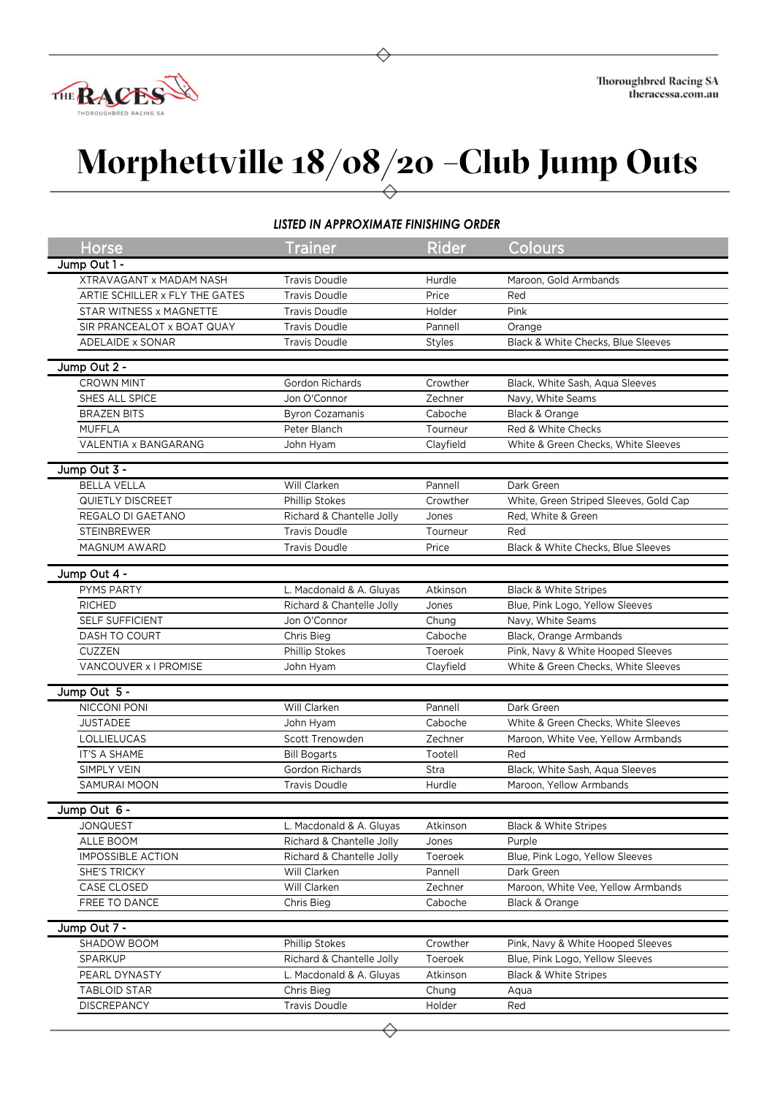

## **Morphettville 18/08/20 –Club Jump Outs**

## *LISTED IN APPROXIMATE FINISHING ORDER*

| Horse                          | <b>Trainer</b>                          | <b>Rider</b>   | Colours                                |
|--------------------------------|-----------------------------------------|----------------|----------------------------------------|
| Jump Out 1 -                   |                                         |                |                                        |
| <b>XTRAVAGANT x MADAM NASH</b> | <b>Travis Doudle</b>                    | Hurdle         | Maroon, Gold Armbands                  |
| ARTIE SCHILLER x FLY THE GATES | <b>Travis Doudle</b>                    | Price          | Red                                    |
| STAR WITNESS x MAGNETTE        | <b>Travis Doudle</b>                    | Holder         | Pink                                   |
| SIR PRANCEALOT x BOAT QUAY     | <b>Travis Doudle</b>                    | Pannell        | Orange                                 |
| ADELAIDE x SONAR               | <b>Travis Doudle</b>                    | Styles         | Black & White Checks, Blue Sleeves     |
|                                |                                         |                |                                        |
| Jump Out 2 -                   |                                         |                |                                        |
| <b>CROWN MINT</b>              | Gordon Richards                         | Crowther       | Black, White Sash, Aqua Sleeves        |
| SHES ALL SPICE                 | Jon O'Connor                            | Zechner        | Navy, White Seams                      |
| <b>BRAZEN BITS</b>             | <b>Byron Cozamanis</b>                  | Caboche        | Black & Orange                         |
| <b>MUFFLA</b>                  | Peter Blanch                            | Tourneur       | Red & White Checks                     |
| VALENTIA x BANGARANG           | John Hyam                               | Clayfield      | White & Green Checks, White Sleeves    |
| Jump Out 3 -                   |                                         |                |                                        |
| <b>BELLA VELLA</b>             | Will Clarken                            | Pannell        | Dark Green                             |
| QUIETLY DISCREET               | Phillip Stokes                          | Crowther       | White, Green Striped Sleeves, Gold Cap |
| REGALO DI GAETANO              | Richard & Chantelle Jolly               | Jones          | Red. White & Green                     |
| <b>STEINBREWER</b>             | <b>Travis Doudle</b>                    | Tourneur       | Red                                    |
| MAGNUM AWARD                   | <b>Travis Doudle</b>                    | Price          | Black & White Checks, Blue Sleeves     |
|                                |                                         |                |                                        |
| Jump Out 4 -                   |                                         |                |                                        |
| PYMS PARTY                     | L. Macdonald & A. Gluyas                | Atkinson       | <b>Black &amp; White Stripes</b>       |
| <b>RICHED</b>                  | Richard & Chantelle Jolly               | Jones          | Blue, Pink Logo, Yellow Sleeves        |
| SELF SUFFICIENT                | Jon O'Connor                            | Chung          | Navy, White Seams                      |
| DASH TO COURT                  | Chris Bieg                              | Caboche        | Black, Orange Armbands                 |
| CUZZEN                         | Phillip Stokes                          | Toeroek        | Pink, Navy & White Hooped Sleeves      |
| VANCOUVER x I PROMISE          | John Hyam                               | Clayfield      | White & Green Checks, White Sleeves    |
| Jump Out 5 -                   |                                         |                |                                        |
| NICCONI PONI                   |                                         |                |                                        |
|                                | Will Clarken                            | Pannell        | Dark Green                             |
| <b>JUSTADEE</b><br>LOLLIELUCAS | John Hyam<br>Scott Trenowden            | Caboche        | White & Green Checks, White Sleeves    |
|                                |                                         | Zechner        | Maroon, White Vee, Yellow Armbands     |
| IT'S A SHAME                   | <b>Bill Bogarts</b>                     | Tootell        | Red                                    |
| SIMPLY VEIN                    | Gordon Richards<br><b>Travis Doudle</b> | Stra<br>Hurdle | Black, White Sash, Aqua Sleeves        |
| SAMURAI MOON                   |                                         |                | Maroon, Yellow Armbands                |
| Jump Out 6 -                   |                                         |                |                                        |
| <b>JONQUEST</b>                | L. Macdonald & A. Gluyas                | Atkinson       | <b>Black &amp; White Stripes</b>       |
| ALLE BOOM                      | Richard & Chantelle Jolly               | Jones          | Purple                                 |
| <b>IMPOSSIBLE ACTION</b>       | Richard & Chantelle Jolly               | Toeroek        | Blue, Pink Logo, Yellow Sleeves        |
| SHE'S TRICKY                   | Will Clarken                            | Pannell        | Dark Green                             |
| CASE CLOSED                    | Will Clarken                            | Zechner        | Maroon, White Vee, Yellow Armbands     |
| FREE TO DANCE                  | Chris Bieg                              | Caboche        | Black & Orange                         |
|                                |                                         |                |                                        |
| Jump Out 7 -                   |                                         |                |                                        |
| SHADOW BOOM                    | Phillip Stokes                          | Crowther       | Pink, Navy & White Hooped Sleeves      |
| SPARKUP                        | Richard & Chantelle Jolly               | Toeroek        | Blue, Pink Logo, Yellow Sleeves        |
| PEARL DYNASTY                  | L. Macdonald & A. Gluyas                | Atkinson       | <b>Black &amp; White Stripes</b>       |
| <b>TABLOID STAR</b>            | Chris Bieg                              | Chung          | Aqua                                   |
| <b>DISCREPANCY</b>             | <b>Travis Doudle</b>                    | Holder         | Red                                    |
|                                |                                         |                |                                        |